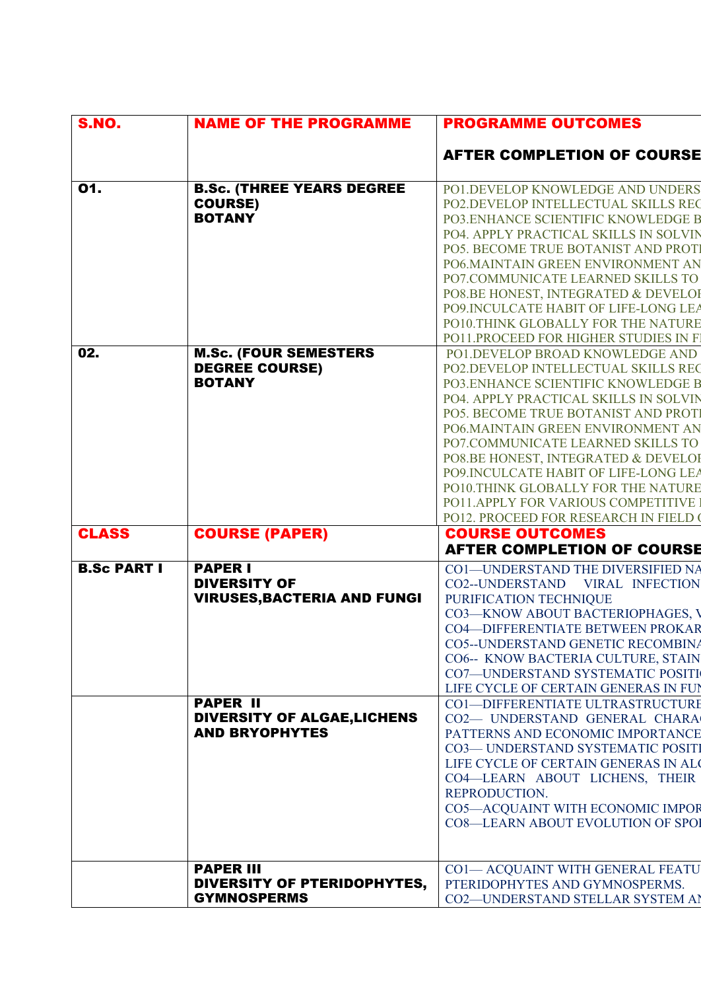| <b>S.NO.</b>       | <b>NAME OF THE PROGRAMME</b>                                                   | <b>PROGRAMME OUTCOMES</b>                                                                                                                                                                                                                                                                                                                                                                                                                                                  |
|--------------------|--------------------------------------------------------------------------------|----------------------------------------------------------------------------------------------------------------------------------------------------------------------------------------------------------------------------------------------------------------------------------------------------------------------------------------------------------------------------------------------------------------------------------------------------------------------------|
|                    |                                                                                | <b>AFTER COMPLETION OF COURSE</b>                                                                                                                                                                                                                                                                                                                                                                                                                                          |
| 01.                | <b>B.Sc. (THREE YEARS DEGREE</b><br><b>COURSE)</b><br><b>BOTANY</b>            | PO1.DEVELOP KNOWLEDGE AND UNDERS<br>PO2.DEVELOP INTELLECTUAL SKILLS REC<br>PO3.ENHANCE SCIENTIFIC KNOWLEDGE B<br>PO4. APPLY PRACTICAL SKILLS IN SOLVIN<br>PO5. BECOME TRUE BOTANIST AND PROTI<br>PO6.MAINTAIN GREEN ENVIRONMENT AN<br>PO7.COMMUNICATE LEARNED SKILLS TO<br>PO8.BE HONEST, INTEGRATED & DEVELOR<br>PO9.INCULCATE HABIT OF LIFE-LONG LEA<br>PO10.THINK GLOBALLY FOR THE NATURE<br>PO11.PROCEED FOR HIGHER STUDIES IN F.                                      |
| 02.                | <b>M.Sc. (FOUR SEMESTERS</b><br><b>DEGREE COURSE)</b><br><b>BOTANY</b>         | PO1.DEVELOP BROAD KNOWLEDGE AND<br>PO2.DEVELOP INTELLECTUAL SKILLS REC<br>PO3.ENHANCE SCIENTIFIC KNOWLEDGE B<br>PO4. APPLY PRACTICAL SKILLS IN SOLVIN<br>PO5. BECOME TRUE BOTANIST AND PROTI<br>PO6.MAINTAIN GREEN ENVIRONMENT AN<br>PO7.COMMUNICATE LEARNED SKILLS TO<br>PO8.BE HONEST, INTEGRATED & DEVELOR<br>PO9.INCULCATE HABIT OF LIFE-LONG LEA<br>PO10.THINK GLOBALLY FOR THE NATURE<br>PO11.APPLY FOR VARIOUS COMPETITIVE<br>PO12. PROCEED FOR RESEARCH IN FIELD ( |
| <b>CLASS</b>       | <b>COURSE (PAPER)</b>                                                          | <b>COURSE OUTCOMES</b><br><b>AFTER COMPLETION OF COURSE</b>                                                                                                                                                                                                                                                                                                                                                                                                                |
| <b>B.Sc PART I</b> | <b>PAPER I</b><br><b>DIVERSITY OF</b><br><b>VIRUSES, BACTERIA AND FUNGI</b>    | CO1-UNDERSTAND THE DIVERSIFIED NA<br>CO2--UNDERSTAND VIRAL INFECTION<br>PURIFICATION TECHNIQUE<br>CO3-KNOW ABOUT BACTERIOPHAGES, V<br><b>CO4-DIFFERENTIATE BETWEEN PROKAR</b><br>CO5--UNDERSTAND GENETIC RECOMBINA<br>CO6-- KNOW BACTERIA CULTURE, STAIN<br>CO7-UNDERSTAND SYSTEMATIC POSITI<br>LIFE CYCLE OF CERTAIN GENERAS IN FUI                                                                                                                                       |
|                    | <b>PAPER II</b><br><b>DIVERSITY OF ALGAE, LICHENS</b><br><b>AND BRYOPHYTES</b> | <b>CO1-DIFFERENTIATE ULTRASTRUCTURE</b><br>CO2- UNDERSTAND GENERAL CHARA<br>PATTERNS AND ECONOMIC IMPORTANCE<br>CO3-UNDERSTAND SYSTEMATIC POSITI<br>LIFE CYCLE OF CERTAIN GENERAS IN ALC<br>CO4-LEARN ABOUT LICHENS, THEIR<br>REPRODUCTION.<br>CO5-ACQUAINT WITH ECONOMIC IMPOR<br><b>CO8-LEARN ABOUT EVOLUTION OF SPOI</b>                                                                                                                                                |
|                    | <b>PAPER III</b><br>DIVERSITY OF PTERIDOPHYTES,<br><b>GYMNOSPERMS</b>          | <b>CO1-ACQUAINT WITH GENERAL FEATU</b><br>PTERIDOPHYTES AND GYMNOSPERMS.<br>CO2-UNDERSTAND STELLAR SYSTEM AI                                                                                                                                                                                                                                                                                                                                                               |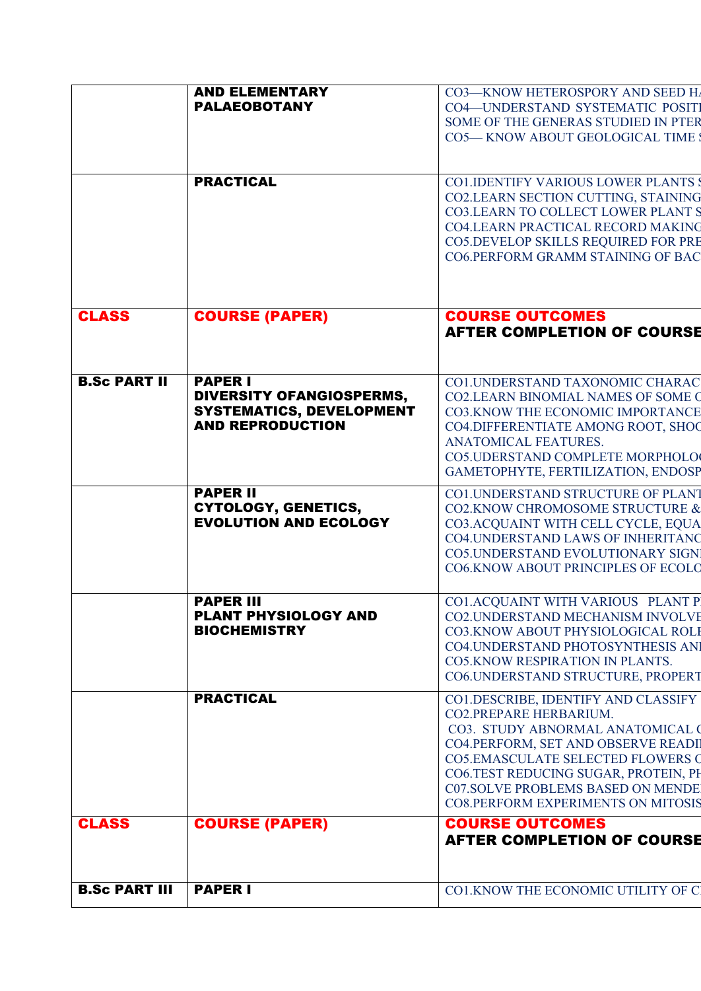|                      | <b>AND ELEMENTARY</b><br><b>PALAEOBOTANY</b>                                                                    | CO3-KNOW HETEROSPORY AND SEED H<br><b>CO4-UNDERSTAND SYSTEMATIC POSITI</b><br>SOME OF THE GENERAS STUDIED IN PTER<br><b>CO5-KNOW ABOUT GEOLOGICAL TIME</b>                                                                                                                                                    |
|----------------------|-----------------------------------------------------------------------------------------------------------------|---------------------------------------------------------------------------------------------------------------------------------------------------------------------------------------------------------------------------------------------------------------------------------------------------------------|
|                      | <b>PRACTICAL</b>                                                                                                | <b>CO1.IDENTIFY VARIOUS LOWER PLANTS 9</b><br>CO2.LEARN SECTION CUTTING, STAINING<br><b>CO3.LEARN TO COLLECT LOWER PLANT S</b><br>CO4.LEARN PRACTICAL RECORD MAKING<br>CO5.DEVELOP SKILLS REQUIRED FOR PRE<br>CO6.PERFORM GRAMM STAINING OF BAC                                                               |
| <b>CLASS</b>         | <b>COURSE (PAPER)</b>                                                                                           | <b>COURSE OUTCOMES</b><br><b>AFTER COMPLETION OF COURSE</b>                                                                                                                                                                                                                                                   |
| <b>B.Sc PART II</b>  | <b>PAPER I</b><br><b>DIVERSITY OFANGIOSPERMS,</b><br><b>SYSTEMATICS, DEVELOPMENT</b><br><b>AND REPRODUCTION</b> | <b>CO1.UNDERSTAND TAXONOMIC CHARAC</b><br><b>CO2.LEARN BINOMIAL NAMES OF SOME OF</b><br>CO3.KNOW THE ECONOMIC IMPORTANCE<br>CO4.DIFFERENTIATE AMONG ROOT, SHOC<br>ANATOMICAL FEATURES.<br>CO5.UDERSTAND COMPLETE MORPHOLO<br>GAMETOPHYTE, FERTILIZATION, ENDOSP                                               |
|                      | <b>PAPER II</b><br><b>CYTOLOGY, GENETICS,</b><br><b>EVOLUTION AND ECOLOGY</b>                                   | <b>CO1.UNDERSTAND STRUCTURE OF PLANT</b><br>CO2.KNOW CHROMOSOME STRUCTURE &<br>CO3.ACQUAINT WITH CELL CYCLE, EQUA<br><b>CO4.UNDERSTAND LAWS OF INHERITANO</b><br><b>CO5.UNDERSTAND EVOLUTIONARY SIGN</b><br>CO6.KNOW ABOUT PRINCIPLES OF ECOLO                                                                |
|                      | <b>PAPER III</b><br><b>PLANT PHYSIOLOGY AND</b><br><b>BIOCHEMISTRY</b>                                          | CO1.ACQUAINT WITH VARIOUS PLANT P<br>CO2.UNDERSTAND MECHANISM INVOLVE<br>CO3.KNOW ABOUT PHYSIOLOGICAL ROLE<br>CO4. UNDERSTAND PHOTOSYNTHESIS AN<br><b>CO5.KNOW RESPIRATION IN PLANTS.</b><br>CO6.UNDERSTAND STRUCTURE, PROPERT                                                                                |
|                      | <b>PRACTICAL</b>                                                                                                | CO1.DESCRIBE, IDENTIFY AND CLASSIFY<br>CO2.PREPARE HERBARIUM.<br>CO3. STUDY ABNORMAL ANATOMICAL (<br>CO4.PERFORM, SET AND OBSERVE READI<br>CO5.EMASCULATE SELECTED FLOWERS O<br>CO6.TEST REDUCING SUGAR, PROTEIN, PH<br><b>C07.SOLVE PROBLEMS BASED ON MENDE</b><br><b>CO8.PERFORM EXPERIMENTS ON MITOSIS</b> |
| <b>CLASS</b>         | <b>COURSE (PAPER)</b>                                                                                           | <b>COURSE OUTCOMES</b><br><b>AFTER COMPLETION OF COURSE</b>                                                                                                                                                                                                                                                   |
| <b>B.Sc PART III</b> | <b>PAPER I</b>                                                                                                  | CO1.KNOW THE ECONOMIC UTILITY OF C                                                                                                                                                                                                                                                                            |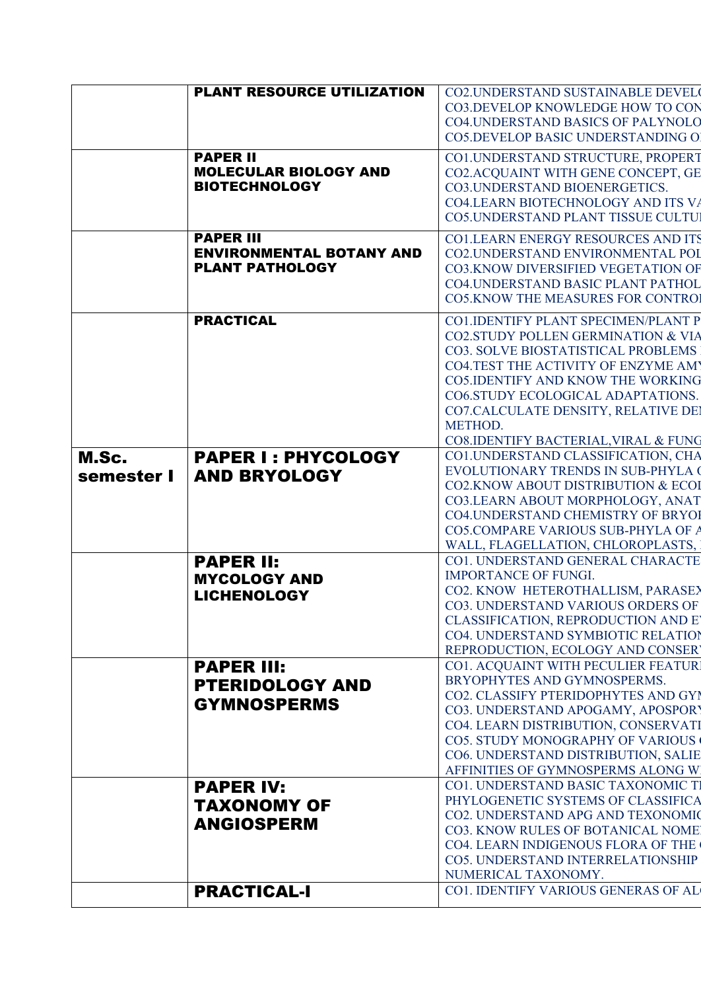|                     | <b>PLANT RESOURCE UTILIZATION</b>                                             | CO2.UNDERSTAND SUSTAINABLE DEVEL<br>CO3.DEVELOP KNOWLEDGE HOW TO CON<br><b>CO4.UNDERSTAND BASICS OF PALYNOLO</b>                                                                                                                                                                                                                         |
|---------------------|-------------------------------------------------------------------------------|------------------------------------------------------------------------------------------------------------------------------------------------------------------------------------------------------------------------------------------------------------------------------------------------------------------------------------------|
|                     | <b>PAPER II</b>                                                               | <b>CO5.DEVELOP BASIC UNDERSTANDING O</b><br>CO1.UNDERSTAND STRUCTURE, PROPERT                                                                                                                                                                                                                                                            |
|                     | <b>MOLECULAR BIOLOGY AND</b><br><b>BIOTECHNOLOGY</b>                          | CO2.ACQUAINT WITH GENE CONCEPT, GE<br>CO3.UNDERSTAND BIOENERGETICS.<br>CO4.LEARN BIOTECHNOLOGY AND ITS VA<br>CO5.UNDERSTAND PLANT TISSUE CULTUI                                                                                                                                                                                          |
|                     | <b>PAPER III</b><br><b>ENVIRONMENTAL BOTANY AND</b><br><b>PLANT PATHOLOGY</b> | <b>CO1.LEARN ENERGY RESOURCES AND ITS</b><br>CO2.UNDERSTAND ENVIRONMENTAL POI<br>CO3.KNOW DIVERSIFIED VEGETATION OF<br><b>CO4.UNDERSTAND BASIC PLANT PATHOL</b><br><b>CO5.KNOW THE MEASURES FOR CONTROL</b>                                                                                                                              |
|                     | <b>PRACTICAL</b>                                                              | CO1.IDENTIFY PLANT SPECIMEN/PLANT P<br>CO2.STUDY POLLEN GERMINATION & VIA<br>CO3. SOLVE BIOSTATISTICAL PROBLEMS<br><b>CO4.TEST THE ACTIVITY OF ENZYME AMY</b><br><b>CO5.IDENTIFY AND KNOW THE WORKING</b><br>CO6.STUDY ECOLOGICAL ADAPTATIONS.<br>CO7.CALCULATE DENSITY, RELATIVE DEI<br>METHOD.<br>CO8.IDENTIFY BACTERIAL, VIRAL & FUNG |
| M.Sc.<br>semester I | <b>PAPER I: PHYCOLOGY</b><br><b>AND BRYOLOGY</b>                              | CO1.UNDERSTAND CLASSIFICATION, CHA<br>EVOLUTIONARY TRENDS IN SUB-PHYLA (<br>CO2.KNOW ABOUT DISTRIBUTION & ECOI<br>CO3.LEARN ABOUT MORPHOLOGY, ANAT<br><b>CO4.UNDERSTAND CHEMISTRY OF BRYOI</b><br>CO5.COMPARE VARIOUS SUB-PHYLA OF A<br>WALL, FLAGELLATION, CHLOROPLASTS,                                                                |
|                     | <b>PAPER II:</b><br><b>MYCOLOGY AND</b><br><b>LICHENOLOGY</b>                 | CO1. UNDERSTAND GENERAL CHARACTE<br><b>IMPORTANCE OF FUNGI.</b><br>CO2. KNOW HETEROTHALLISM, PARASEY<br>CO3. UNDERSTAND VARIOUS ORDERS OF<br>CLASSIFICATION, REPRODUCTION AND E<br>CO4. UNDERSTAND SYMBIOTIC RELATION<br>REPRODUCTION, ECOLOGY AND CONSER                                                                                |
|                     | <b>PAPER III:</b><br><b>PTERIDOLOGY AND</b><br><b>GYMNOSPERMS</b>             | CO1. ACQUAINT WITH PECULIER FEATUR.<br>BRYOPHYTES AND GYMNOSPERMS.<br>CO2. CLASSIFY PTERIDOPHYTES AND GYI<br>CO3. UNDERSTAND APOGAMY, APOSPORY<br>CO4. LEARN DISTRIBUTION, CONSERVATI<br><b>CO5. STUDY MONOGRAPHY OF VARIOUS</b><br>CO6. UNDERSTAND DISTRIBUTION, SALIE<br>AFFINITIES OF GYMNOSPERMS ALONG W                             |
|                     | <b>PAPER IV:</b><br><b>TAXONOMY OF</b><br><b>ANGIOSPERM</b>                   | CO1. UNDERSTAND BASIC TAXONOMIC TI<br>PHYLOGENETIC SYSTEMS OF CLASSIFICA<br>CO2. UNDERSTAND APG AND TEXONOMIC<br>CO3. KNOW RULES OF BOTANICAL NOME<br>CO4. LEARN INDIGENOUS FLORA OF THE<br>CO5. UNDERSTAND INTERRELATIONSHIP<br>NUMERICAL TAXONOMY.                                                                                     |
|                     | <b>PRACTICAL-I</b>                                                            | CO1. IDENTIFY VARIOUS GENERAS OF AL                                                                                                                                                                                                                                                                                                      |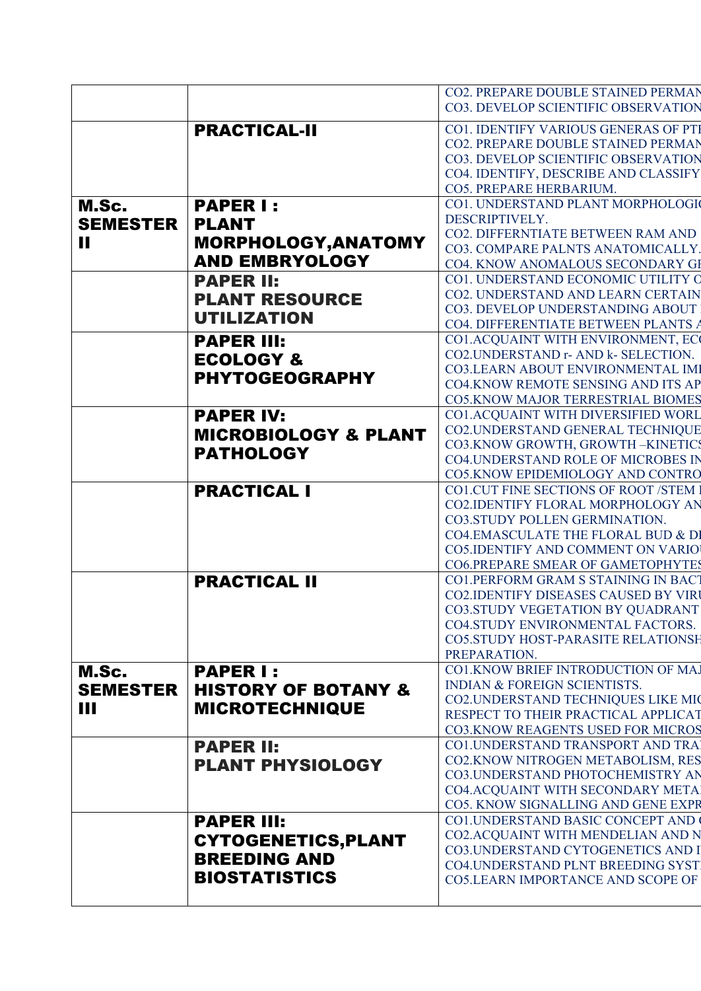|                 |                                 | CO2. PREPARE DOUBLE STAINED PERMAN                                   |
|-----------------|---------------------------------|----------------------------------------------------------------------|
|                 |                                 | CO3. DEVELOP SCIENTIFIC OBSERVATION                                  |
|                 |                                 | CO1. IDENTIFY VARIOUS GENERAS OF PTI                                 |
|                 | <b>PRACTICAL-II</b>             | CO2. PREPARE DOUBLE STAINED PERMAN                                   |
|                 |                                 | CO3. DEVELOP SCIENTIFIC OBSERVATION                                  |
|                 |                                 | CO4. IDENTIFY, DESCRIBE AND CLASSIFY                                 |
|                 |                                 | CO5. PREPARE HERBARIUM.                                              |
| M.Sc.           | <b>PAPER I:</b>                 | CO1. UNDERSTAND PLANT MORPHOLOGI                                     |
|                 |                                 | DESCRIPTIVELY.                                                       |
| <b>SEMESTER</b> | <b>PLANT</b>                    | CO2. DIFFERNTIATE BETWEEN RAM AND                                    |
| П               | MORPHOLOGY, ANATOMY             | CO3. COMPARE PALNTS ANATOMICALLY.                                    |
|                 | <b>AND EMBRYOLOGY</b>           | CO4. KNOW ANOMALOUS SECONDARY GI                                     |
|                 | <b>PAPER II:</b>                | CO1. UNDERSTAND ECONOMIC UTILITY O                                   |
|                 | <b>PLANT RESOURCE</b>           | CO2. UNDERSTAND AND LEARN CERTAIN                                    |
|                 |                                 | CO3. DEVELOP UNDERSTANDING ABOUT                                     |
|                 | <b>UTILIZATION</b>              | CO4. DIFFERENTIATE BETWEEN PLANTS A                                  |
|                 | <b>PAPER III:</b>               | CO1.ACQUAINT WITH ENVIRONMENT, EC                                    |
|                 | <b>ECOLOGY &amp;</b>            | CO2.UNDERSTAND r- AND k- SELECTION.                                  |
|                 | <b>PHYTOGEOGRAPHY</b>           | <b>CO3.LEARN ABOUT ENVIRONMENTAL IMI</b>                             |
|                 |                                 | <b>CO4.KNOW REMOTE SENSING AND ITS AP</b>                            |
|                 |                                 | <b>CO5.KNOW MAJOR TERRESTRIAL BIOMES</b>                             |
|                 | <b>PAPER IV:</b>                | CO1.ACQUAINT WITH DIVERSIFIED WORL                                   |
|                 | <b>MICROBIOLOGY &amp; PLANT</b> | CO2.UNDERSTAND GENERAL TECHNIQUE<br>CO3.KNOW GROWTH, GROWTH-KINETICS |
|                 | <b>PATHOLOGY</b>                | <b>CO4.UNDERSTAND ROLE OF MICROBES IN</b>                            |
|                 |                                 | CO5.KNOW EPIDEMIOLOGY AND CONTRO                                     |
|                 | <b>PRACTICAL I</b>              | <b>CO1.CUT FINE SECTIONS OF ROOT /STEM</b>                           |
|                 |                                 | <b>CO2.IDENTIFY FLORAL MORPHOLOGY AN</b>                             |
|                 |                                 | CO3.STUDY POLLEN GERMINATION.                                        |
|                 |                                 | CO4.EMASCULATE THE FLORAL BUD & DI                                   |
|                 |                                 | <b>CO5.IDENTIFY AND COMMENT ON VARIO</b>                             |
|                 |                                 | <b>CO6.PREPARE SMEAR OF GAMETOPHYTES</b>                             |
|                 | <b>PRACTICAL II</b>             | <b>CO1.PERFORM GRAM S STAINING IN BACT</b>                           |
|                 |                                 | <b>CO2.IDENTIFY DISEASES CAUSED BY VIRI</b>                          |
|                 |                                 | <b>CO3.STUDY VEGETATION BY QUADRANT</b>                              |
|                 |                                 | <b>CO4.STUDY ENVIRONMENTAL FACTORS.</b>                              |
|                 |                                 | <b>CO5.STUDY HOST-PARASITE RELATIONSH</b>                            |
| M.Sc.           | <b>PAPER I:</b>                 | PREPARATION.<br>CO1.KNOW BRIEF INTRODUCTION OF MA.                   |
|                 |                                 | <b>INDIAN &amp; FOREIGN SCIENTISTS.</b>                              |
| <b>SEMESTER</b> | <b>HISTORY OF BOTANY &amp;</b>  | CO2. UNDERSTAND TECHNIQUES LIKE MIC                                  |
| Ш               | <b>MICROTECHNIQUE</b>           | RESPECT TO THEIR PRACTICAL APPLICAT                                  |
|                 |                                 | <b>CO3.KNOW REAGENTS USED FOR MICROS</b>                             |
|                 | <b>PAPER II:</b>                | CO1.UNDERSTAND TRANSPORT AND TRA                                     |
|                 | <b>PLANT PHYSIOLOGY</b>         | CO2.KNOW NITROGEN METABOLISM, RES                                    |
|                 |                                 | CO3.UNDERSTAND PHOTOCHEMISTRY AN                                     |
|                 |                                 | CO4.ACQUAINT WITH SECONDARY META                                     |
|                 |                                 | CO5. KNOW SIGNALLING AND GENE EXPR                                   |
|                 | <b>PAPER III:</b>               | <b>CO1.UNDERSTAND BASIC CONCEPT AND</b>                              |
|                 | <b>CYTOGENETICS, PLANT</b>      | CO2.ACQUAINT WITH MENDELIAN AND N                                    |
|                 | <b>BREEDING AND</b>             | CO3.UNDERSTAND CYTOGENETICS AND I                                    |
|                 | <b>BIOSTATISTICS</b>            | CO4.UNDERSTAND PLNT BREEDING SYST                                    |
|                 |                                 | <b>CO5.LEARN IMPORTANCE AND SCOPE OF</b>                             |
|                 |                                 |                                                                      |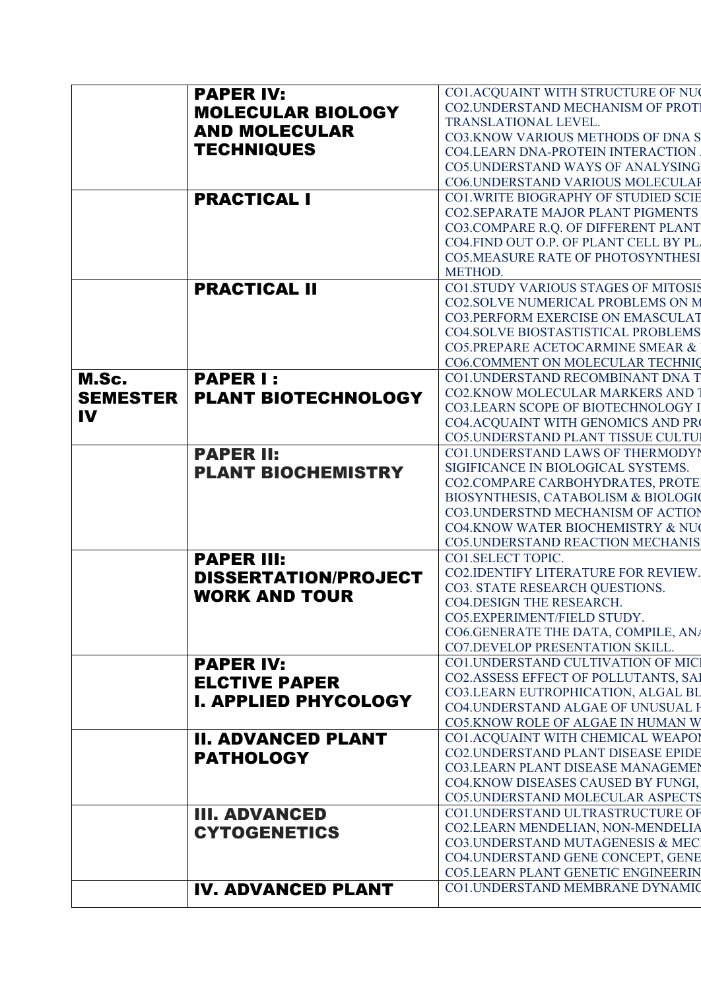|                 | <b>PAPER IV:</b>            | CO1.ACQUAINT WITH STRUCTURE OF NU                            |
|-----------------|-----------------------------|--------------------------------------------------------------|
|                 | <b>MOLECULAR BIOLOGY</b>    | CO2.UNDERSTAND MECHANISM OF PROTI                            |
|                 |                             | TRANSLATIONAL LEVEL.                                         |
|                 | <b>AND MOLECULAR</b>        | CO3.KNOW VARIOUS METHODS OF DNA S                            |
|                 | <b>TECHNIQUES</b>           | <b>CO4.LEARN DNA-PROTEIN INTERACTION</b>                     |
|                 |                             | <b>CO5.UNDERSTAND WAYS OF ANALYSING</b>                      |
|                 |                             | CO6.UNDERSTAND VARIOUS MOLECULAR                             |
|                 | <b>PRACTICAL I</b>          | <b>CO1. WRITE BIOGRAPHY OF STUDIED SCIE</b>                  |
|                 |                             | <b>CO2.SEPARATE MAJOR PLANT PIGMENTS</b>                     |
|                 |                             | CO3.COMPARE R.Q. OF DIFFERENT PLANT                          |
|                 |                             | CO4.FIND OUT O.P. OF PLANT CELL BY PL.                       |
|                 |                             | <b>CO5.MEASURE RATE OF PHOTOSYNTHESI</b>                     |
|                 |                             | METHOD.                                                      |
|                 | <b>PRACTICAL II</b>         | <b>CO1.STUDY VARIOUS STAGES OF MITOSIS</b>                   |
|                 |                             | CO2.SOLVE NUMERICAL PROBLEMS ON M                            |
|                 |                             | <b>CO3.PERFORM EXERCISE ON EMASCULAT</b>                     |
|                 |                             | <b>CO4.SOLVE BIOSTASTISTICAL PROBLEMS</b>                    |
|                 |                             | CO5.PREPARE ACETOCARMINE SMEAR &                             |
|                 |                             | CO6.COMMENT ON MOLECULAR TECHNIC                             |
| M.Sc.           | <b>PAPER I:</b>             | CO1.UNDERSTAND RECOMBINANT DNA T                             |
| <b>SEMESTER</b> | <b>PLANT BIOTECHNOLOGY</b>  | <b>CO2.KNOW MOLECULAR MARKERS AND</b>                        |
| IV              |                             | CO3.LEARN SCOPE OF BIOTECHNOLOGY I                           |
|                 |                             | CO4.ACQUAINT WITH GENOMICS AND PRO                           |
|                 |                             | CO5.UNDERSTAND PLANT TISSUE CULTUI                           |
|                 | <b>PAPER II:</b>            | CO1.UNDERSTAND LAWS OF THERMODYI                             |
|                 | <b>PLANT BIOCHEMISTRY</b>   | SIGIFICANCE IN BIOLOGICAL SYSTEMS.                           |
|                 |                             | CO2.COMPARE CARBOHYDRATES, PROTE                             |
|                 |                             | BIOSYNTHESIS, CATABOLISM & BIOLOGIC                          |
|                 |                             | <b>CO3.UNDERSTND MECHANISM OF ACTION</b>                     |
|                 |                             | CO4.KNOW WATER BIOCHEMISTRY & NU                             |
|                 |                             | <b>CO5.UNDERSTAND REACTION MECHANIS</b><br>CO1.SELECT TOPIC. |
|                 | <b>PAPER III:</b>           | <b>CO2.IDENTIFY LITERATURE FOR REVIEW.</b>                   |
|                 | <b>DISSERTATION/PROJECT</b> | CO3. STATE RESEARCH QUESTIONS.                               |
|                 | <b>WORK AND TOUR</b>        | <b>CO4.DESIGN THE RESEARCH.</b>                              |
|                 |                             | CO5.EXPERIMENT/FIELD STUDY.                                  |
|                 |                             | CO6.GENERATE THE DATA, COMPILE, ANA                          |
|                 |                             | CO7.DEVELOP PRESENTATION SKILL.                              |
|                 | <b>PAPER IV:</b>            | <b>CO1.UNDERSTAND CULTIVATION OF MICI</b>                    |
|                 | <b>ELCTIVE PAPER</b>        | CO2.ASSESS EFFECT OF POLLUTANTS, SAI                         |
|                 |                             | CO3.LEARN EUTROPHICATION, ALGAL BL                           |
|                 | <b>I. APPLIED PHYCOLOGY</b> | <b>CO4.UNDERSTAND ALGAE OF UNUSUAL H</b>                     |
|                 |                             | CO5.KNOW ROLE OF ALGAE IN HUMAN W                            |
|                 | <b>II. ADVANCED PLANT</b>   | CO1.ACQUAINT WITH CHEMICAL WEAPOI                            |
|                 | <b>PATHOLOGY</b>            | <b>CO2.UNDERSTAND PLANT DISEASE EPIDE</b>                    |
|                 |                             | <b>CO3.LEARN PLANT DISEASE MANAGEMEN</b>                     |
|                 |                             | CO4.KNOW DISEASES CAUSED BY FUNGI,                           |
|                 |                             | CO5.UNDERSTAND MOLECULAR ASPECTS                             |
|                 | <b>III. ADVANCED</b>        | CO1.UNDERSTAND ULTRASTRUCTURE OF                             |
|                 | <b>CYTOGENETICS</b>         | CO2.LEARN MENDELIAN, NON-MENDELIA                            |
|                 |                             | CO3.UNDERSTAND MUTAGENESIS & MEC                             |
|                 |                             | CO4.UNDERSTAND GENE CONCEPT, GENE                            |
|                 |                             | <b>CO5.LEARN PLANT GENETIC ENGINEERIN</b>                    |
|                 | <b>IV. ADVANCED PLANT</b>   | CO1.UNDERSTAND MEMBRANE DYNAMIC                              |
|                 |                             |                                                              |